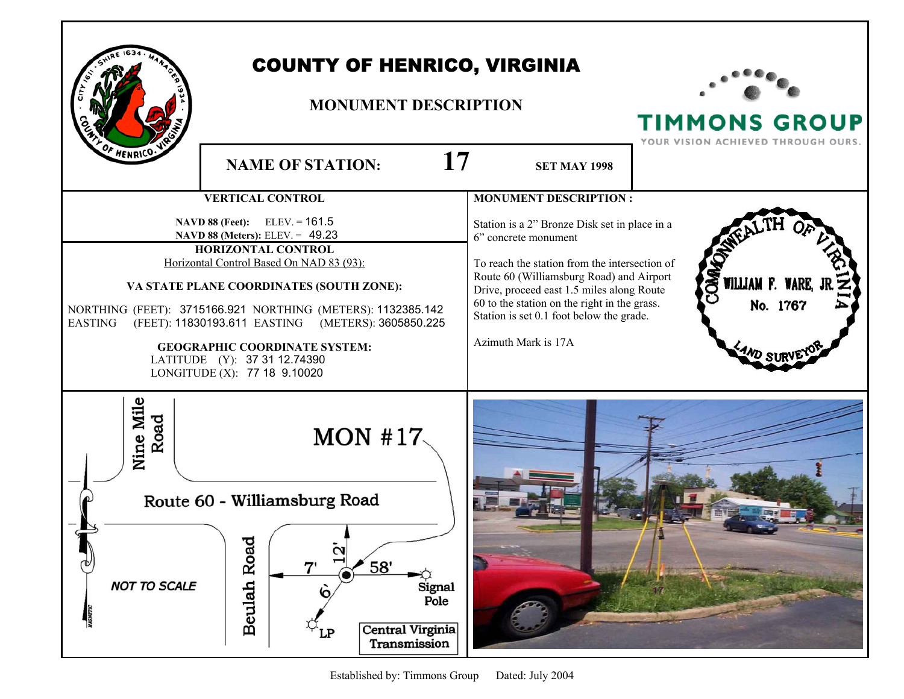| HENRICO.                                                                                                                                                                                                                                                                                                                                                                                                                      | <b>COUNTY OF HENRICO, VIRGINIA</b><br><b>MONUMENT DESCRIPTION</b><br>17                                                                              | <b>TIMMONS GROUP</b><br>YOUR VISION ACHIEVED THROUGH OURS.                                                                                                                                                                                                                                                                         |                                                         |
|-------------------------------------------------------------------------------------------------------------------------------------------------------------------------------------------------------------------------------------------------------------------------------------------------------------------------------------------------------------------------------------------------------------------------------|------------------------------------------------------------------------------------------------------------------------------------------------------|------------------------------------------------------------------------------------------------------------------------------------------------------------------------------------------------------------------------------------------------------------------------------------------------------------------------------------|---------------------------------------------------------|
|                                                                                                                                                                                                                                                                                                                                                                                                                               | <b>NAME OF STATION:</b>                                                                                                                              | <b>SET MAY 1998</b>                                                                                                                                                                                                                                                                                                                |                                                         |
|                                                                                                                                                                                                                                                                                                                                                                                                                               | <b>VERTICAL CONTROL</b>                                                                                                                              | <b>MONUMENT DESCRIPTION:</b>                                                                                                                                                                                                                                                                                                       |                                                         |
| NAVD 88 (Feet): ELEV. = 161.5<br>NAVD 88 (Meters): ELEV. = 49.23<br>HORIZONTAL CONTROL<br>Horizontal Control Based On NAD 83 (93):<br>VA STATE PLANE COORDINATES (SOUTH ZONE):<br>NORTHING (FEET): 3715166.921 NORTHING (METERS): 1132385.142<br>(FEET): 11830193.611 EASTING (METERS): 3605850.225<br><b>EASTING</b><br><b>GEOGRAPHIC COORDINATE SYSTEM:</b><br>LATITUDE (Y): 37 31 12.74390<br>LONGITUDE (X): 77 18 9.10020 |                                                                                                                                                      | Station is a 2" Bronze Disk set in place in a<br>6" concrete monument<br>To reach the station from the intersection of<br>Route 60 (Williamsburg Road) and Airport<br>Drive, proceed east 1.5 miles along Route<br>60 to the station on the right in the grass.<br>Station is set 0.1 foot below the grade.<br>Azimuth Mark is 17A | <b>OMMO</b><br>WILLIAM F. WARE,<br>No. 1767<br>$4M$ SUF |
| Nine Mile<br>Road<br><b>NOT TO SCALE</b>                                                                                                                                                                                                                                                                                                                                                                                      | MON #17 $\sim$<br>Route 60 - Williamsburg Road<br>Roa<br>58'<br>7'<br>Beulah<br>Signal<br>6<br>Pole<br><b>Central Virginia</b><br>LP<br>Transmission |                                                                                                                                                                                                                                                                                                                                    |                                                         |